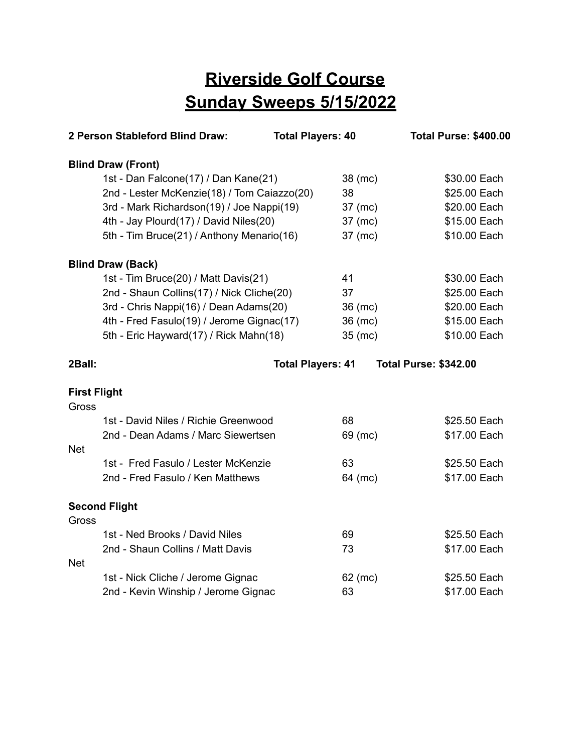## **Riverside Golf Course Sunday Sweeps 5/15/2022**

|                     | 2 Person Stableford Blind Draw:             | <b>Total Players: 40</b> |         | <b>Total Purse: \$400.00</b> |
|---------------------|---------------------------------------------|--------------------------|---------|------------------------------|
|                     | <b>Blind Draw (Front)</b>                   |                          |         |                              |
|                     | 1st - Dan Falcone(17) / Dan Kane(21)        |                          | 38 (mc) | \$30.00 Each                 |
|                     | 2nd - Lester McKenzie(18) / Tom Caiazzo(20) |                          | 38      | \$25.00 Each                 |
|                     | 3rd - Mark Richardson(19) / Joe Nappi(19)   |                          | 37 (mc) | \$20.00 Each                 |
|                     | 4th - Jay Plourd(17) / David Niles(20)      |                          | 37 (mc) | \$15.00 Each                 |
|                     | 5th - Tim Bruce(21) / Anthony Menario(16)   |                          | 37 (mc) | \$10.00 Each                 |
|                     | <b>Blind Draw (Back)</b>                    |                          |         |                              |
|                     | 1st - Tim Bruce(20) / Matt Davis(21)        |                          | 41      | \$30.00 Each                 |
|                     | 2nd - Shaun Collins(17) / Nick Cliche(20)   |                          | 37      | \$25.00 Each                 |
|                     | 3rd - Chris Nappi(16) / Dean Adams(20)      |                          | 36 (mc) | \$20.00 Each                 |
|                     | 4th - Fred Fasulo(19) / Jerome Gignac(17)   |                          | 36 (mc) | \$15.00 Each                 |
|                     | 5th - Eric Hayward(17) / Rick Mahn(18)      |                          | 35 (mc) | \$10.00 Each                 |
| 2Ball:              |                                             | <b>Total Players: 41</b> |         | <b>Total Purse: \$342.00</b> |
| <b>First Flight</b> |                                             |                          |         |                              |
| Gross               |                                             |                          |         |                              |
|                     | 1st - David Niles / Richie Greenwood        |                          | 68      | \$25.50 Each                 |
|                     | 2nd - Dean Adams / Marc Siewertsen          |                          | 69 (mc) | \$17.00 Each                 |
| <b>Net</b>          |                                             |                          |         |                              |
|                     | 1st - Fred Fasulo / Lester McKenzie         |                          | 63      | \$25.50 Each                 |
|                     | 2nd - Fred Fasulo / Ken Matthews            |                          | 64 (mc) | \$17.00 Each                 |
|                     | <b>Second Flight</b>                        |                          |         |                              |
| Gross               |                                             |                          |         |                              |
|                     | 1st - Ned Brooks / David Niles              |                          | 69      | \$25.50 Each                 |
|                     | 2nd - Shaun Collins / Matt Davis            |                          | 73      | \$17.00 Each                 |
| <b>Net</b>          |                                             |                          |         |                              |
|                     | 1st - Nick Cliche / Jerome Gignac           |                          | 62 (mc) | \$25.50 Each                 |
|                     | 2nd - Kevin Winship / Jerome Gignac         |                          | 63      | \$17.00 Each                 |